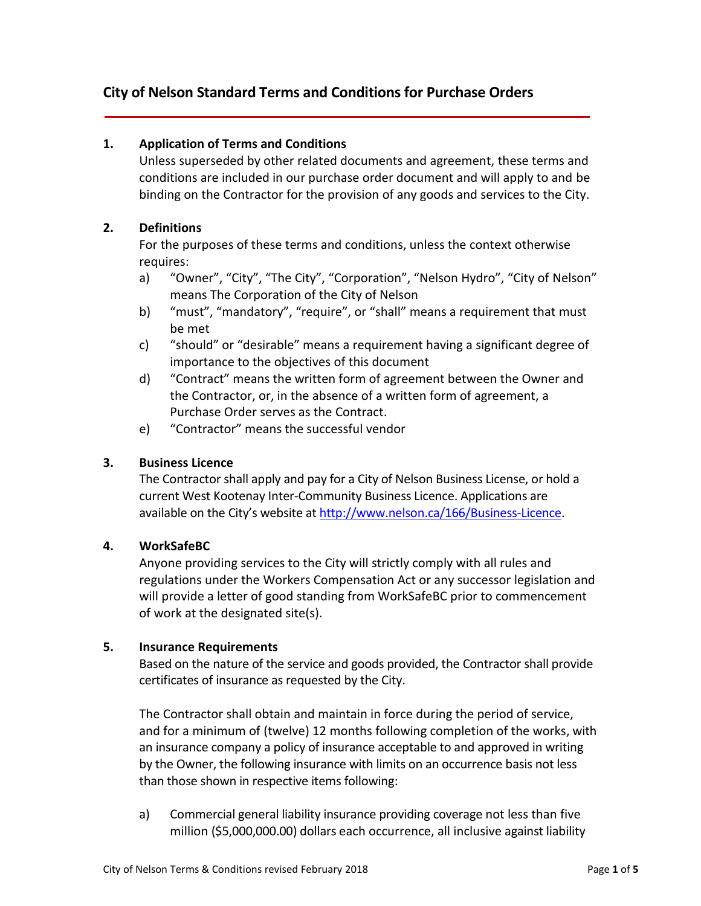# **City of Nelson Standard Terms and Conditions for Purchase Orders**

### **1. Application of Terms and Conditions**

Unless superseded by other related documents and agreement, these terms and conditions are included in our purchase order document and will apply to and be binding on the Contractor for the provision of any goods and services to the City.

### **2. Definitions**

For the purposes of these terms and conditions, unless the context otherwise requires:

- a) "Owner", "City", "The City", "Corporation", "Nelson Hydro", "City of Nelson" means The Corporation of the City of Nelson
- b) "must", "mandatory", "require", or "shall" means a requirement that must be met
- c) "should" or "desirable" means a requirement having a significant degree of importance to the objectives of this document
- d) "Contract" means the written form of agreement between the Owner and the Contractor, or, in the absence of a written form of agreement, a Purchase Order serves as the Contract.
- e) "Contractor" means the successful vendor

### **3. Business Licence**

The Contractor shall apply and pay for a City of Nelson Business License, or hold a current West Kootenay Inter-Community Business Licence. Applications are available on the City's website at [http://www.nelson.ca/166/Business-Licence.](http://www.nelson.ca/166/Business-Licence)

### **4. WorkSafeBC**

Anyone providing services to the City will strictly comply with all rules and regulations under the Workers Compensation Act or any successor legislation and will provide a letter of good standing from WorkSafeBC prior to commencement of work at the designated site(s).

### **5. Insurance Requirements**

Based on the nature of the service and goods provided, the Contractor shall provide certificates of insurance as requested by the City.

The Contractor shall obtain and maintain in force during the period of service, and for a minimum of (twelve) 12 months following completion of the works, with an insurance company a policy of insurance acceptable to and approved in writing by the Owner, the following insurance with limits on an occurrence basis not less than those shown in respective items following:

a) Commercial general liability insurance providing coverage not less than five million (\$5,000,000.00) dollars each occurrence, all inclusive against liability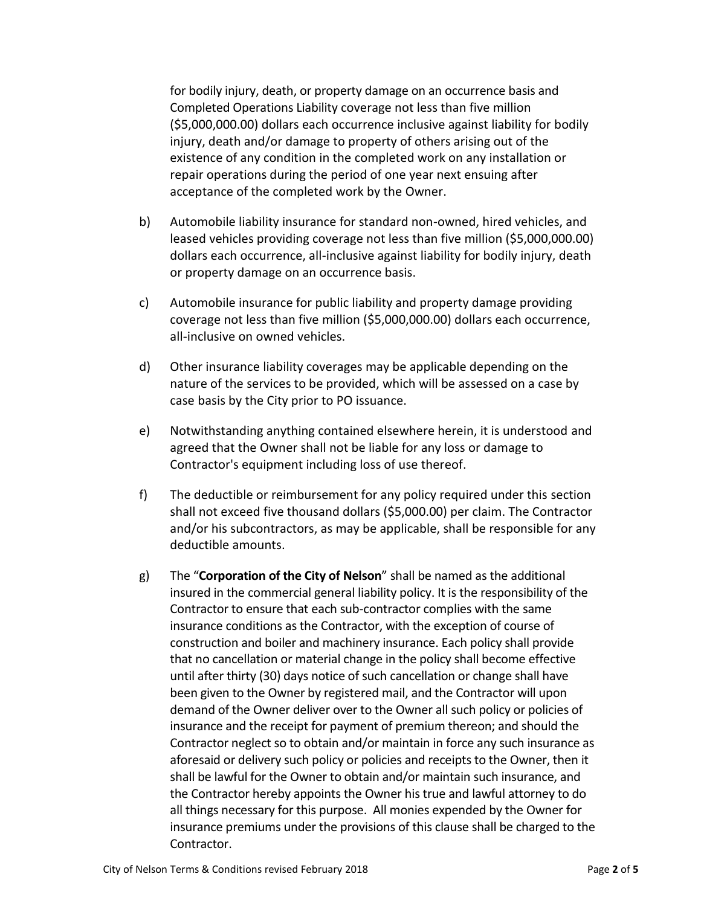for bodily injury, death, or property damage on an occurrence basis and Completed Operations Liability coverage not less than five million (\$5,000,000.00) dollars each occurrence inclusive against liability for bodily injury, death and/or damage to property of others arising out of the existence of any condition in the completed work on any installation or repair operations during the period of one year next ensuing after acceptance of the completed work by the Owner.

- b) Automobile liability insurance for standard non-owned, hired vehicles, and leased vehicles providing coverage not less than five million (\$5,000,000.00) dollars each occurrence, all-inclusive against liability for bodily injury, death or property damage on an occurrence basis.
- c) Automobile insurance for public liability and property damage providing coverage not less than five million (\$5,000,000.00) dollars each occurrence, all-inclusive on owned vehicles.
- d) Other insurance liability coverages may be applicable depending on the nature of the services to be provided, which will be assessed on a case by case basis by the City prior to PO issuance.
- e) Notwithstanding anything contained elsewhere herein, it is understood and agreed that the Owner shall not be liable for any loss or damage to Contractor's equipment including loss of use thereof.
- f) The deductible or reimbursement for any policy required under this section shall not exceed five thousand dollars (\$5,000.00) per claim. The Contractor and/or his subcontractors, as may be applicable, shall be responsible for any deductible amounts.
- g) The "**Corporation of the City of Nelson**" shall be named as the additional insured in the commercial general liability policy. It is the responsibility of the Contractor to ensure that each sub-contractor complies with the same insurance conditions as the Contractor, with the exception of course of construction and boiler and machinery insurance. Each policy shall provide that no cancellation or material change in the policy shall become effective until after thirty (30) days notice of such cancellation or change shall have been given to the Owner by registered mail, and the Contractor will upon demand of the Owner deliver over to the Owner all such policy or policies of insurance and the receipt for payment of premium thereon; and should the Contractor neglect so to obtain and/or maintain in force any such insurance as aforesaid or delivery such policy or policies and receipts to the Owner, then it shall be lawful for the Owner to obtain and/or maintain such insurance, and the Contractor hereby appoints the Owner his true and lawful attorney to do all things necessary for this purpose. All monies expended by the Owner for insurance premiums under the provisions of this clause shall be charged to the Contractor.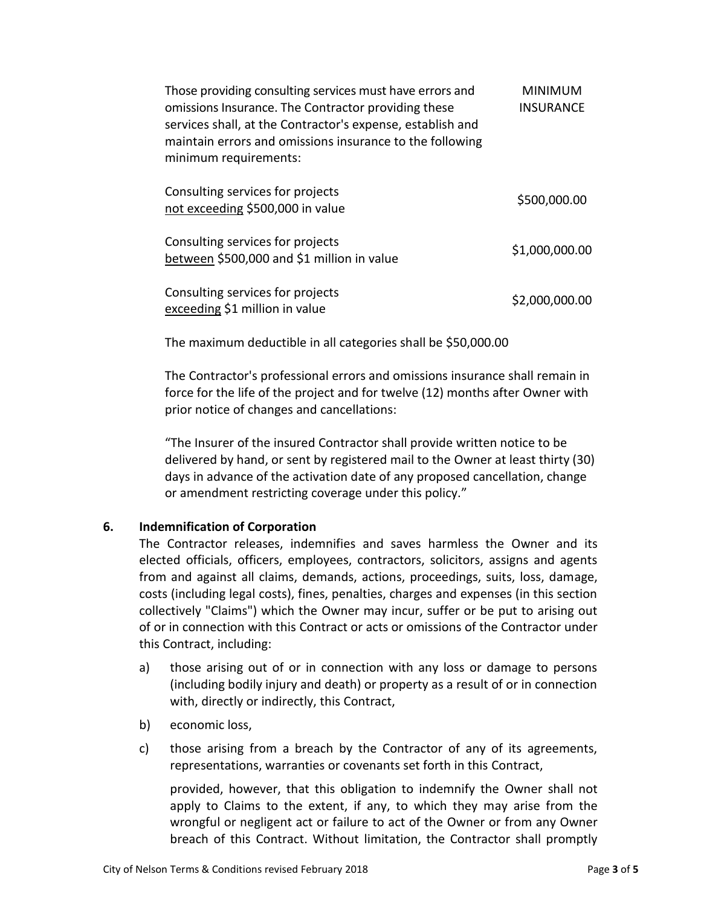| Those providing consulting services must have errors and<br>omissions Insurance. The Contractor providing these<br>services shall, at the Contractor's expense, establish and<br>maintain errors and omissions insurance to the following<br>minimum requirements: | <b>MINIMUM</b><br><b>INSURANCE</b> |
|--------------------------------------------------------------------------------------------------------------------------------------------------------------------------------------------------------------------------------------------------------------------|------------------------------------|
| Consulting services for projects<br>not exceeding \$500,000 in value                                                                                                                                                                                               | \$500,000.00                       |
| Consulting services for projects<br>between \$500,000 and \$1 million in value                                                                                                                                                                                     | \$1,000,000.00                     |
| Consulting services for projects<br>exceeding \$1 million in value                                                                                                                                                                                                 | \$2,000,000.00                     |

The maximum deductible in all categories shall be \$50,000.00

The Contractor's professional errors and omissions insurance shall remain in force for the life of the project and for twelve (12) months after Owner with prior notice of changes and cancellations:

"The Insurer of the insured Contractor shall provide written notice to be delivered by hand, or sent by registered mail to the Owner at least thirty (30) days in advance of the activation date of any proposed cancellation, change or amendment restricting coverage under this policy."

# **6. Indemnification of Corporation**

The Contractor releases, indemnifies and saves harmless the Owner and its elected officials, officers, employees, contractors, solicitors, assigns and agents from and against all claims, demands, actions, proceedings, suits, loss, damage, costs (including legal costs), fines, penalties, charges and expenses (in this section collectively "Claims") which the Owner may incur, suffer or be put to arising out of or in connection with this Contract or acts or omissions of the Contractor under this Contract, including:

- a) those arising out of or in connection with any loss or damage to persons (including bodily injury and death) or property as a result of or in connection with, directly or indirectly, this Contract,
- b) economic loss,
- c) those arising from a breach by the Contractor of any of its agreements, representations, warranties or covenants set forth in this Contract,

provided, however, that this obligation to indemnify the Owner shall not apply to Claims to the extent, if any, to which they may arise from the wrongful or negligent act or failure to act of the Owner or from any Owner breach of this Contract. Without limitation, the Contractor shall promptly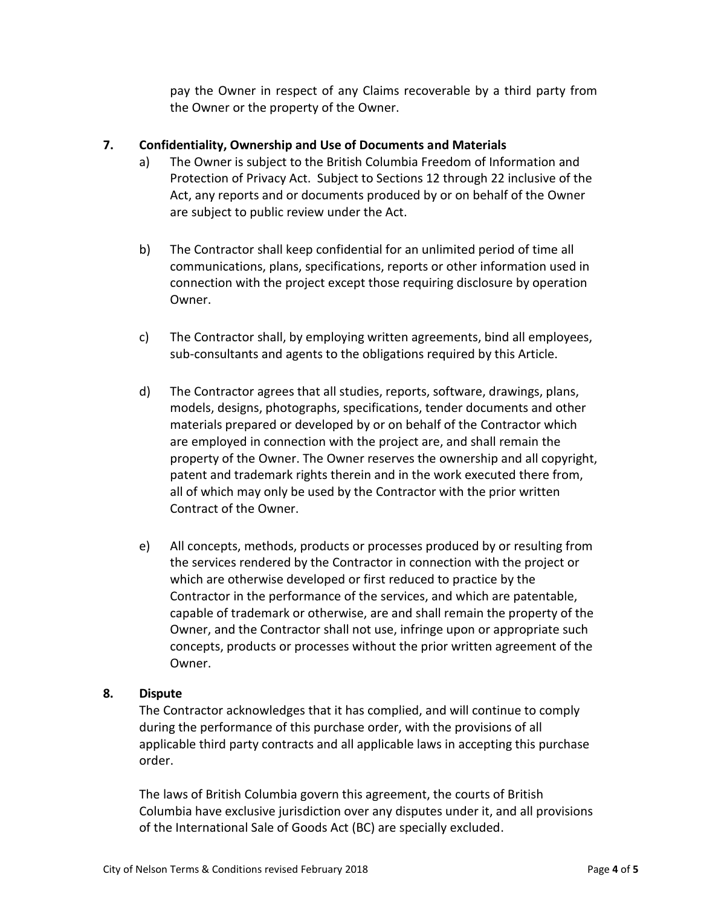pay the Owner in respect of any Claims recoverable by a third party from the Owner or the property of the Owner.

# **7. Confidentiality, Ownership and Use of Documents and Materials**

- a) The Owner is subject to the British Columbia Freedom of Information and Protection of Privacy Act. Subject to Sections 12 through 22 inclusive of the Act, any reports and or documents produced by or on behalf of the Owner are subject to public review under the Act.
- b) The Contractor shall keep confidential for an unlimited period of time all communications, plans, specifications, reports or other information used in connection with the project except those requiring disclosure by operation Owner.
- c) The Contractor shall, by employing written agreements, bind all employees, sub-consultants and agents to the obligations required by this Article.
- d) The Contractor agrees that all studies, reports, software, drawings, plans, models, designs, photographs, specifications, tender documents and other materials prepared or developed by or on behalf of the Contractor which are employed in connection with the project are, and shall remain the property of the Owner. The Owner reserves the ownership and all copyright, patent and trademark rights therein and in the work executed there from, all of which may only be used by the Contractor with the prior written Contract of the Owner.
- e) All concepts, methods, products or processes produced by or resulting from the services rendered by the Contractor in connection with the project or which are otherwise developed or first reduced to practice by the Contractor in the performance of the services, and which are patentable, capable of trademark or otherwise, are and shall remain the property of the Owner, and the Contractor shall not use, infringe upon or appropriate such concepts, products or processes without the prior written agreement of the Owner.

### **8. Dispute**

The Contractor acknowledges that it has complied, and will continue to comply during the performance of this purchase order, with the provisions of all applicable third party contracts and all applicable laws in accepting this purchase order.

The laws of British Columbia govern this agreement, the courts of British Columbia have exclusive jurisdiction over any disputes under it, and all provisions of the International Sale of Goods Act (BC) are specially excluded.